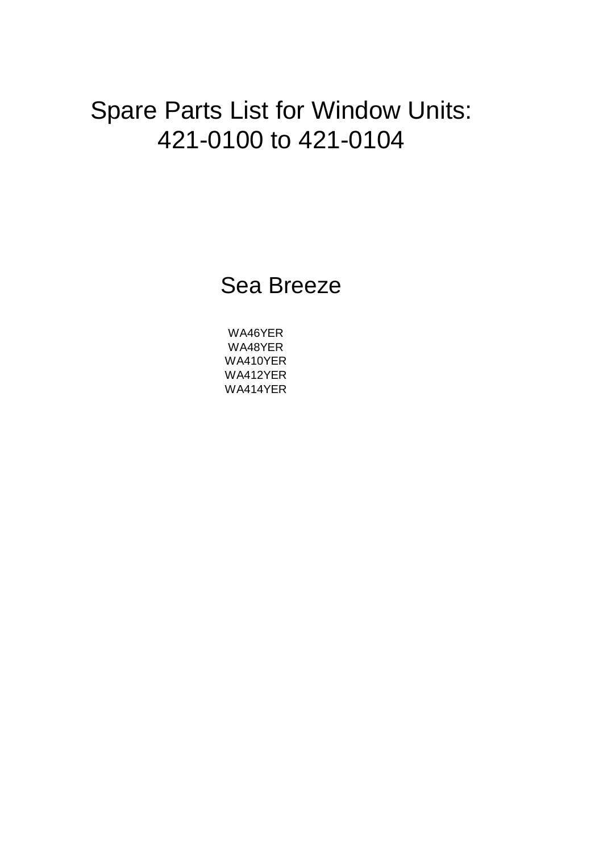# Spare Parts List for Window Units: 421-0100 to 421-0104

Sea Breeze

WA412YER WA414YER WA410YER WA48YER WA46YER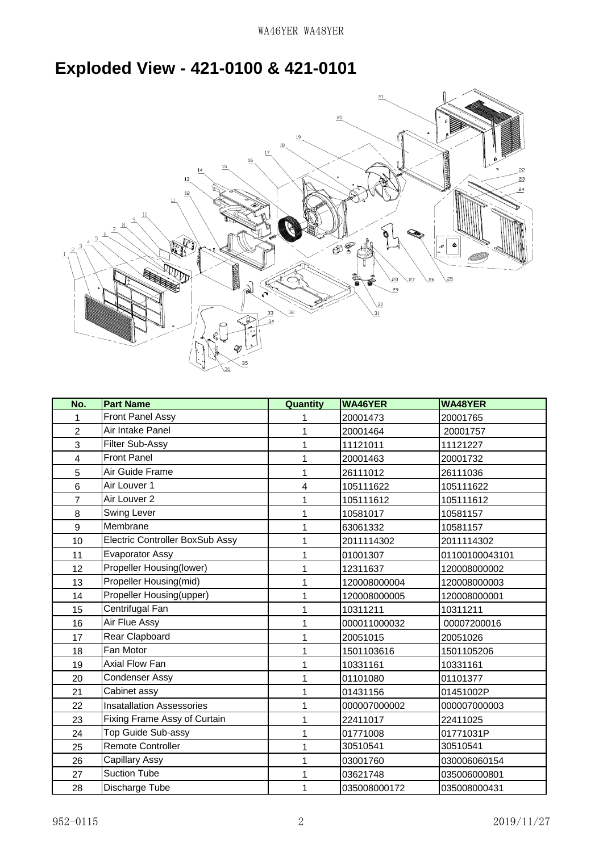#### **Exploded View - 421-0100 & 421-0101**



| No.            | <b>Part Name</b>                       | Quantity | <b>WA46YER</b> | <b>WA48YER</b> |
|----------------|----------------------------------------|----------|----------------|----------------|
| 1              | <b>Front Panel Assy</b>                | 1        | 20001473       | 20001765       |
| $\overline{2}$ | Air Intake Panel                       | 1        | 20001464       | 20001757       |
| 3              | <b>Filter Sub-Assy</b>                 | 1        | 11121011       | 11121227       |
| $\overline{4}$ | <b>Front Panel</b>                     | 1        | 20001463       | 20001732       |
| 5              | Air Guide Frame                        | 1        | 26111012       | 26111036       |
| $6\phantom{1}$ | Air Louver 1                           | 4        | 105111622      | 105111622      |
| 7              | Air Louver 2                           | 1        | 105111612      | 105111612      |
| 8              | Swing Lever                            | 1        | 10581017       | 10581157       |
| 9              | Membrane                               | 1        | 63061332       | 10581157       |
| 10             | <b>Electric Controller BoxSub Assy</b> | 1        | 2011114302     | 2011114302     |
| 11             | Evaporator Assy                        | 1        | 01001307       | 01100100043101 |
| 12             | Propeller Housing(lower)               | 1        | 12311637       | 120008000002   |
| 13             | Propeller Housing(mid)                 | 1        | 120008000004   | 120008000003   |
| 14             | Propeller Housing(upper)               | 1        | 120008000005   | 120008000001   |
| 15             | Centrifugal Fan                        | 1        | 10311211       | 10311211       |
| 16             | Air Flue Assy                          | 1        | 000011000032   | 00007200016    |
| 17             | Rear Clapboard                         | 1        | 20051015       | 20051026       |
| 18             | Fan Motor                              | 1        | 1501103616     | 1501105206     |
| 19             | Axial Flow Fan                         | 1        | 10331161       | 10331161       |
| 20             | Condenser Assy                         | 1        | 01101080       | 01101377       |
| 21             | Cabinet assy                           | 1        | 01431156       | 01451002P      |
| 22             | <b>Insatallation Assessories</b>       | 1        | 000007000002   | 000007000003   |
| 23             | Fixing Frame Assy of Curtain           | 1        | 22411017       | 22411025       |
| 24             | Top Guide Sub-assy                     | 1        | 01771008       | 01771031P      |
| 25             | <b>Remote Controller</b>               | 1        | 30510541       | 30510541       |
| 26             | Capillary Assy                         | 1        | 03001760       | 030006060154   |
| 27             | <b>Suction Tube</b>                    | 1        | 03621748       | 035006000801   |
| 28             | Discharge Tube                         | 1        | 035008000172   | 035008000431   |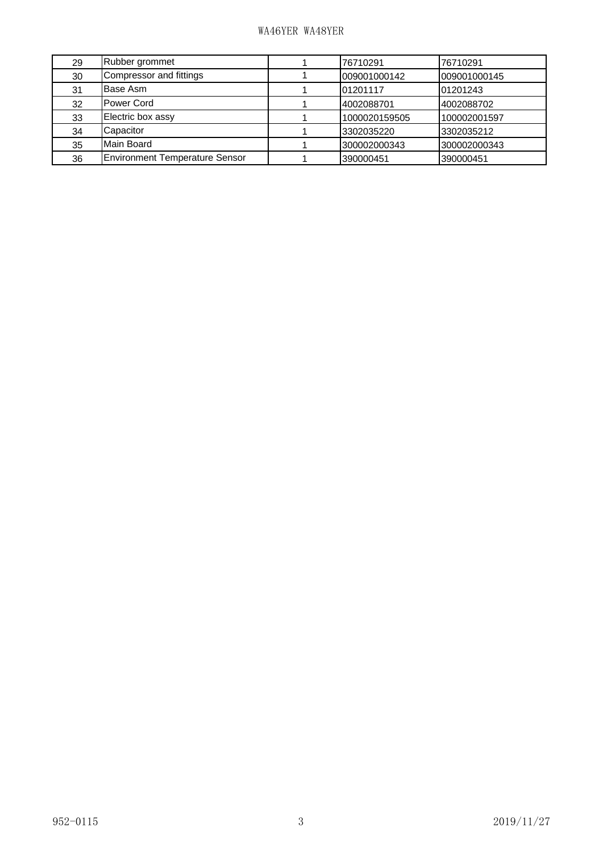#### WA46YER WA48YER

| 29 | Rubber grommet                        | 76710291      | 76710291     |
|----|---------------------------------------|---------------|--------------|
| 30 | Compressor and fittings               | 009001000142  | 009001000145 |
| 31 | Base Asm                              | 01201117      | 01201243     |
| 32 | <b>Power Cord</b>                     | 4002088701    | 4002088702   |
| 33 | Electric box assy                     | 1000020159505 | 100002001597 |
| 34 | Capacitor                             | 3302035220    | 3302035212   |
| 35 | Main Board                            | 300002000343  | 300002000343 |
| 36 | <b>Environment Temperature Sensor</b> | 390000451     | 390000451    |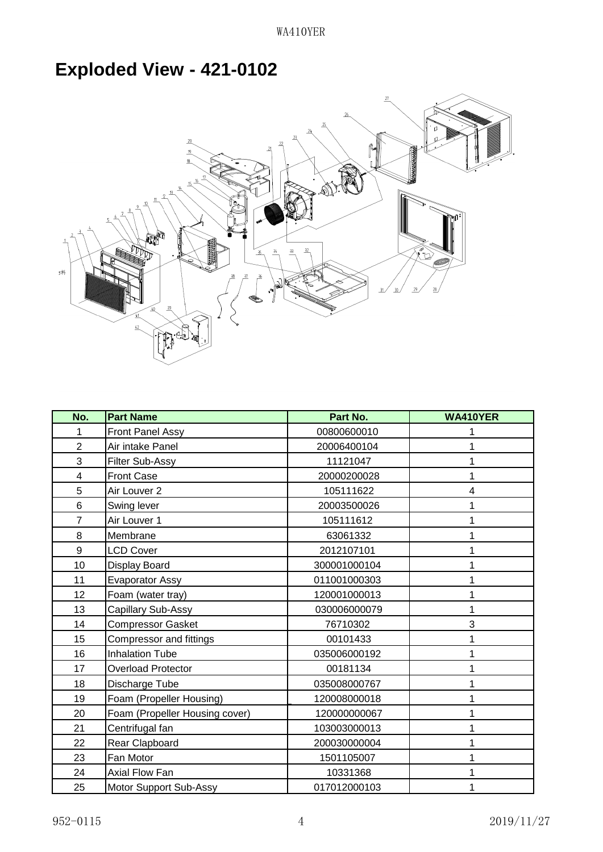### **Exploded View - 421-0102**



| No.            | <b>Part Name</b>               | Part No.     | <b>WA410YER</b> |
|----------------|--------------------------------|--------------|-----------------|
| 1              | Front Panel Assy               | 00800600010  |                 |
| $\overline{2}$ | Air intake Panel               | 20006400104  |                 |
| 3              | Filter Sub-Assy                | 11121047     |                 |
| 4              | <b>Front Case</b>              | 20000200028  |                 |
| 5              | Air Louver 2                   | 105111622    | 4               |
| 6              | Swing lever                    | 20003500026  |                 |
| $\overline{7}$ | Air Louver 1                   | 105111612    |                 |
| 8              | Membrane                       | 63061332     |                 |
| 9              | <b>LCD Cover</b>               | 2012107101   |                 |
| 10             | Display Board                  | 300001000104 |                 |
| 11             | <b>Evaporator Assy</b>         | 011001000303 |                 |
| 12             | Foam (water tray)              | 120001000013 |                 |
| 13             | Capillary Sub-Assy             | 030006000079 |                 |
| 14             | <b>Compressor Gasket</b>       | 76710302     | 3               |
| 15             | Compressor and fittings        | 00101433     |                 |
| 16             | <b>Inhalation Tube</b>         | 035006000192 |                 |
| 17             | <b>Overload Protector</b>      | 00181134     |                 |
| 18             | Discharge Tube                 | 035008000767 |                 |
| 19             | Foam (Propeller Housing)       | 120008000018 |                 |
| 20             | Foam (Propeller Housing cover) | 120000000067 |                 |
| 21             | Centrifugal fan                | 103003000013 |                 |
| 22             | Rear Clapboard                 | 200030000004 |                 |
| 23             | Fan Motor                      | 1501105007   |                 |
| 24             | Axial Flow Fan                 | 10331368     |                 |
| 25             | Motor Support Sub-Assy         | 017012000103 |                 |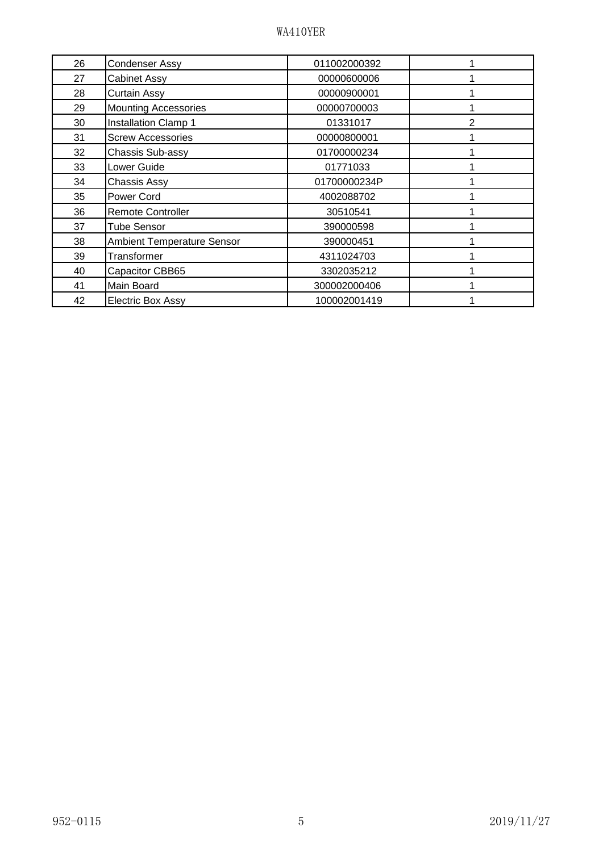| 26 | <b>Condenser Assy</b>       | 011002000392 |               |
|----|-----------------------------|--------------|---------------|
| 27 | <b>Cabinet Assy</b>         | 00000600006  |               |
| 28 | Curtain Assy                | 00000900001  |               |
| 29 | <b>Mounting Accessories</b> | 00000700003  |               |
| 30 | <b>Installation Clamp 1</b> | 01331017     | $\mathcal{P}$ |
| 31 | <b>Screw Accessories</b>    | 00000800001  |               |
| 32 | Chassis Sub-assy            | 01700000234  |               |
| 33 | Lower Guide                 | 01771033     |               |
| 34 | <b>Chassis Assy</b>         | 01700000234P |               |
| 35 | Power Cord                  | 4002088702   |               |
| 36 | <b>Remote Controller</b>    | 30510541     |               |
| 37 | <b>Tube Sensor</b>          | 390000598    |               |
| 38 | Ambient Temperature Sensor  | 390000451    |               |
| 39 | Transformer                 | 4311024703   |               |
| 40 | Capacitor CBB65             | 3302035212   |               |
| 41 | Main Board                  | 300002000406 |               |
| 42 | <b>Electric Box Assy</b>    | 100002001419 |               |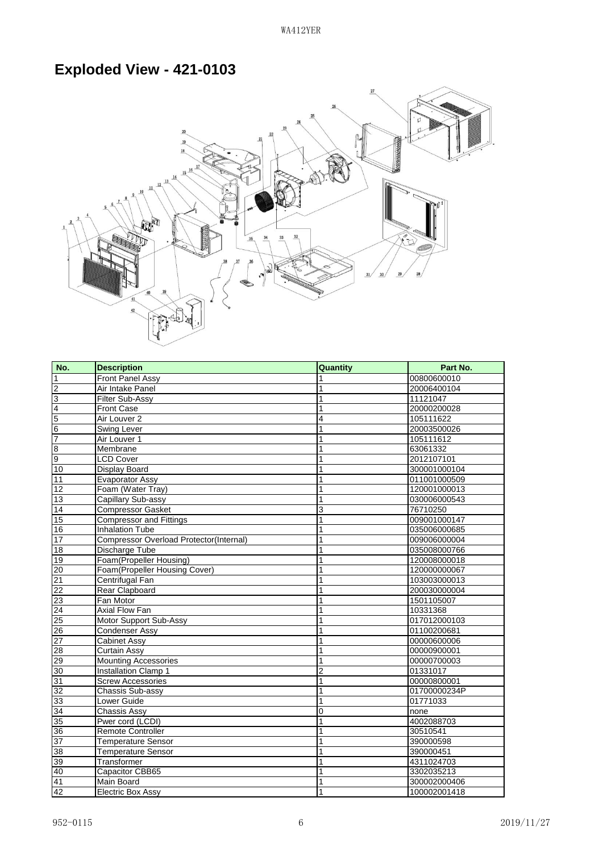#### **Exploded View - 421-0103**



| No.             | <b>Description</b>                      | Quantity | Part No.     |
|-----------------|-----------------------------------------|----------|--------------|
| $\mathbf{1}$    | <b>Front Panel Assy</b>                 | 1        | 00800600010  |
| $\overline{2}$  | <b>Air Intake Panel</b>                 | 1        | 20006400104  |
| $\overline{3}$  | Filter Sub-Assy                         | 1        | 11121047     |
|                 | <b>Front Case</b>                       | 1        | 20000200028  |
| $\frac{4}{7}$   | Air Louver 2                            | 4        | 105111622    |
|                 | <b>Swing Lever</b>                      | 1        | 20003500026  |
|                 | Air Louver 1                            | 1        | 105111612    |
| ္ တ             | Membrane                                | 1        | 63061332     |
|                 | <b>LCD Cover</b>                        | 1        | 2012107101   |
| 10              | <b>Display Board</b>                    | 1        | 300001000104 |
| 11              | <b>Evaporator Assy</b>                  | 1        | 011001000509 |
| 12              | Foam (Water Tray)                       | 1        | 120001000013 |
| 13              | Capillary Sub-assy                      | 1        | 030006000543 |
| 14              | <b>Compressor Gasket</b>                | 3        | 76710250     |
| 15              | <b>Compressor and Fittings</b>          | 1        | 009001000147 |
| 16              | <b>Inhalation Tube</b>                  | 1        | 035006000685 |
| 17              | Compressor Overload Protector(Internal) | 1        | 009006000004 |
| 18              | Discharge Tube                          | 1        | 035008000766 |
| 19              | Foam(Propeller Housing)                 | 1        | 120008000018 |
| 20              | Foam(Propeller Housing Cover)           | 1        | 120000000067 |
| 21              | Centrifugal Fan                         | 1        | 103003000013 |
| 22              | Rear Clapboard                          | 1        | 200030000004 |
| 23              | Fan Motor                               | 1        | 1501105007   |
| $\overline{24}$ | Axial Flow Fan                          | 1        | 10331368     |
| 25              | Motor Support Sub-Assy                  | 1        | 017012000103 |
| 26              | <b>Condenser Assy</b>                   | 1        | 01100200681  |
|                 | <b>Cabinet Assy</b>                     | 1        | 00000600006  |
| $\frac{27}{28}$ | <b>Curtain Assy</b>                     | 1        | 00000900001  |
| 29              | <b>Mounting Accessories</b>             | 1        | 00000700003  |
| 30              | <b>Installation Clamp 1</b>             | 2        | 01331017     |
| 31              | <b>Screw Accessories</b>                | 1        | 00000800001  |
| 32              | Chassis Sub-assy                        | 1        | 01700000234P |
| 33              | Lower Guide                             | 1        | 01771033     |
| 34              | Chassis Assy                            | 0        | none         |
| $\overline{35}$ | Pwer cord (LCDI)                        | 1        | 4002088703   |
| 36              | <b>Remote Controller</b>                | 1        | 30510541     |
| 37              | <b>Temperature Sensor</b>               | 1        | 390000598    |
| 38              | <b>Temperature Sensor</b>               | 1        | 390000451    |
| 39              | Transformer                             | 1        | 4311024703   |
| 40              | Capacitor CBB65                         | 1        | 3302035213   |
| 41              | Main Board                              | 1        | 300002000406 |
| 42              | <b>Electric Box Assy</b>                | 1        | 100002001418 |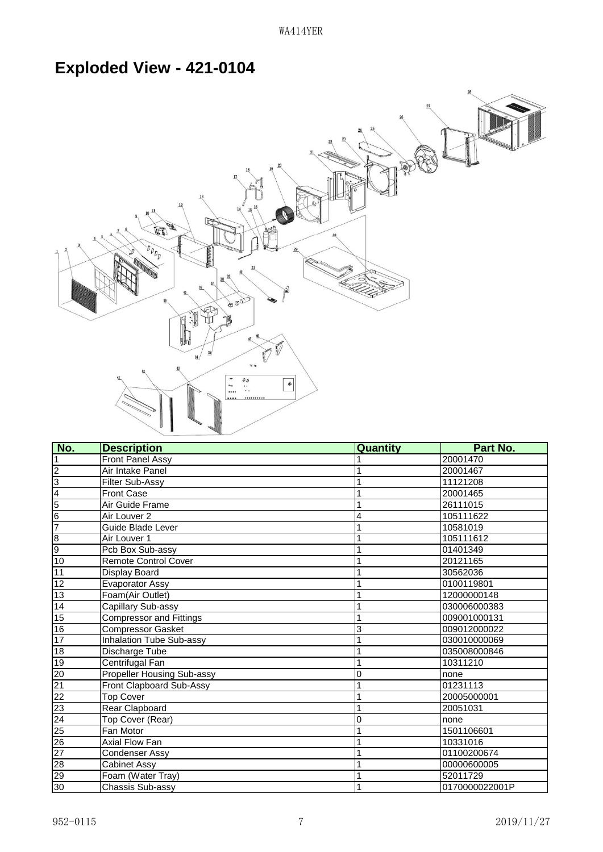## **Exploded View - 421-0104**



| No.                                                   | <b>Description</b>                | Quantity | Part No.       |
|-------------------------------------------------------|-----------------------------------|----------|----------------|
| $\vert$ 1                                             | <b>Front Panel Assy</b>           |          | 20001470       |
| $\overline{2}$                                        | Air Intake Panel                  |          | 20001467       |
| $\overline{3}$                                        | Filter Sub-Assy                   | 1        | 11121208       |
| $\overline{4}$                                        | Front Case                        |          | 20001465       |
| $\overline{5}$                                        | Air Guide Frame                   | 1        | 26111015       |
| $6\overline{6}$                                       | Air Louver 2                      | 4        | 105111622      |
| 7                                                     | Guide Blade Lever                 | 1        | 10581019       |
| $\frac{8}{9}$                                         | Air Louver 1                      | 1        | 105111612      |
|                                                       | Pcb Box Sub-assy                  |          | 01401349       |
| 10                                                    | Remote Control Cover              |          | 20121165       |
| 11                                                    | Display Board                     |          | 30562036       |
| 12                                                    | <b>Evaporator Assy</b>            | 1        | 0100119801     |
| 13                                                    | Foam(Air Outlet)                  | 1        | 12000000148    |
| 14                                                    | Capillary Sub-assy                | 1        | 030006000383   |
| 15                                                    | <b>Compressor and Fittings</b>    |          | 009001000131   |
| 16                                                    | <b>Compressor Gasket</b>          | 3        | 009012000022   |
| 17                                                    | <b>Inhalation Tube Sub-assy</b>   | 1        | 030010000069   |
| 18                                                    | Discharge Tube                    | 1        | 035008000846   |
| 19                                                    | Centrifugal Fan                   | 1        | 10311210       |
| 20                                                    | <b>Propeller Housing Sub-assy</b> | 0        | none           |
| $\frac{21}{22}$<br>$\frac{22}{24}$<br>$\frac{23}{25}$ | <b>Front Clapboard Sub-Assy</b>   |          | 01231113       |
|                                                       | <b>Top Cover</b>                  | 1        | 20005000001    |
|                                                       | Rear Clapboard                    | 1        | 20051031       |
|                                                       | Top Cover (Rear)                  | 0        | none           |
|                                                       | Fan Motor                         | 1        | 1501106601     |
| $\frac{26}{27}$                                       | Axial Flow Fan                    |          | 10331016       |
|                                                       | Condenser Assy                    | 1        | 01100200674    |
| $\frac{28}{29}$                                       | <b>Cabinet Assy</b>               | 1        | 00000600005    |
|                                                       | Foam (Water Tray)                 |          | 52011729       |
| 30                                                    | Chassis Sub-assy                  |          | 0170000022001P |